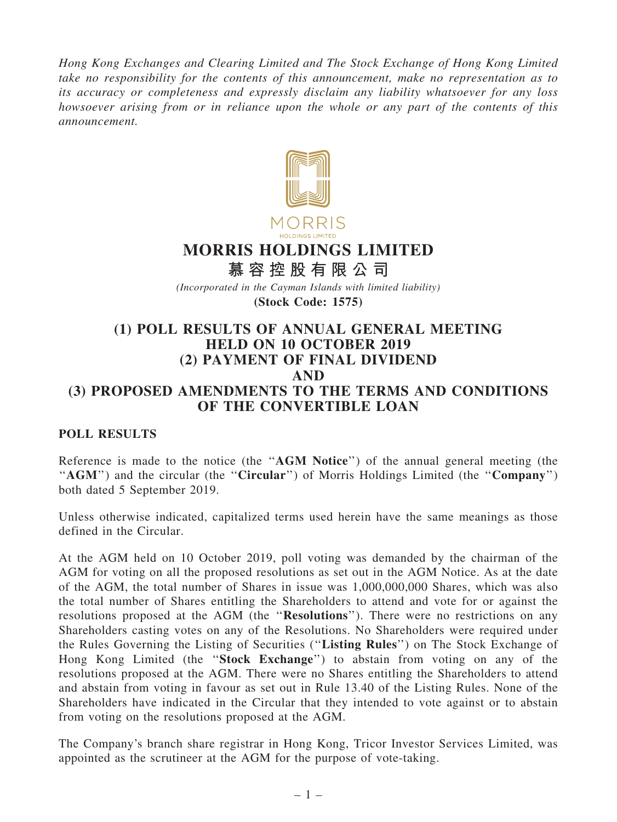Hong Kong Exchanges and Clearing Limited and The Stock Exchange of Hong Kong Limited take no responsibility for the contents of this announcement, make no representation as to its accuracy or completeness and expressly disclaim any liability whatsoever for any loss howsoever arising from or in reliance upon the whole or any part of the contents of this announcement.



# MORRIS HOLDINGS LIMITED

慕 容 控 股 有 限 公 司

(Incorporated in the Cayman Islands with limited liability)

(Stock Code: 1575)

## (1) POLL RESULTS OF ANNUAL GENERAL MEETING HELD ON 10 OCTOBER 2019 (2) PAYMENT OF FINAL DIVIDEND AND (3) PROPOSED AMENDMENTS TO THE TERMS AND CONDITIONS OF THE CONVERTIBLE LOAN

### POLL RESULTS

Reference is made to the notice (the "AGM Notice") of the annual general meeting (the "AGM") and the circular (the "Circular") of Morris Holdings Limited (the "Company") both dated 5 September 2019.

Unless otherwise indicated, capitalized terms used herein have the same meanings as those defined in the Circular.

At the AGM held on 10 October 2019, poll voting was demanded by the chairman of the AGM for voting on all the proposed resolutions as set out in the AGM Notice. As at the date of the AGM, the total number of Shares in issue was 1,000,000,000 Shares, which was also the total number of Shares entitling the Shareholders to attend and vote for or against the resolutions proposed at the AGM (the "Resolutions"). There were no restrictions on any Shareholders casting votes on any of the Resolutions. No Shareholders were required under the Rules Governing the Listing of Securities (''Listing Rules'') on The Stock Exchange of Hong Kong Limited (the "Stock Exchange") to abstain from voting on any of the resolutions proposed at the AGM. There were no Shares entitling the Shareholders to attend and abstain from voting in favour as set out in Rule 13.40 of the Listing Rules. None of the Shareholders have indicated in the Circular that they intended to vote against or to abstain from voting on the resolutions proposed at the AGM.

The Company's branch share registrar in Hong Kong, Tricor Investor Services Limited, was appointed as the scrutineer at the AGM for the purpose of vote-taking.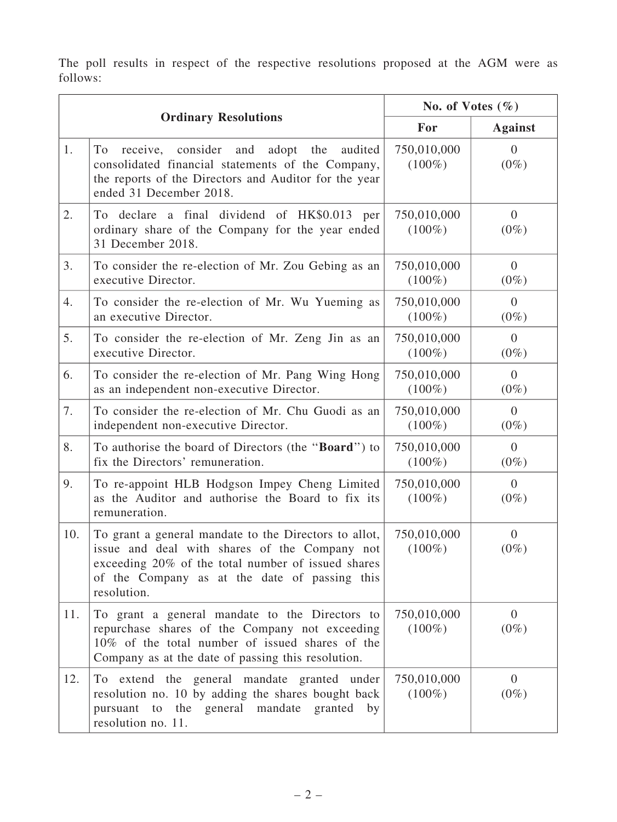The poll results in respect of the respective resolutions proposed at the AGM were as follows:

| <b>Ordinary Resolutions</b> |                                                                                                                                                                                                                              | No. of Votes $(\% )$     |                           |
|-----------------------------|------------------------------------------------------------------------------------------------------------------------------------------------------------------------------------------------------------------------------|--------------------------|---------------------------|
|                             |                                                                                                                                                                                                                              | For                      | <b>Against</b>            |
| 1.                          | To<br>receive, consider and<br>adopt the<br>audited<br>consolidated financial statements of the Company,<br>the reports of the Directors and Auditor for the year<br>ended 31 December 2018.                                 | 750,010,000<br>$(100\%)$ | $\overline{0}$<br>$(0\%)$ |
| 2.                          | To declare a final dividend of HK\$0.013 per<br>ordinary share of the Company for the year ended<br>31 December 2018.                                                                                                        | 750,010,000<br>$(100\%)$ | $\overline{0}$<br>$(0\%)$ |
| 3.                          | To consider the re-election of Mr. Zou Gebing as an<br>executive Director.                                                                                                                                                   | 750,010,000<br>$(100\%)$ | $\overline{0}$<br>$(0\%)$ |
| 4.                          | To consider the re-election of Mr. Wu Yueming as<br>an executive Director.                                                                                                                                                   | 750,010,000<br>$(100\%)$ | $\Omega$<br>$(0\%)$       |
| 5.                          | To consider the re-election of Mr. Zeng Jin as an<br>executive Director.                                                                                                                                                     | 750,010,000<br>$(100\%)$ | $\Omega$<br>$(0\%)$       |
| 6.                          | To consider the re-election of Mr. Pang Wing Hong<br>as an independent non-executive Director.                                                                                                                               | 750,010,000<br>$(100\%)$ | $\overline{0}$<br>$(0\%)$ |
| 7.                          | To consider the re-election of Mr. Chu Guodi as an<br>independent non-executive Director.                                                                                                                                    | 750,010,000<br>$(100\%)$ | $\overline{0}$<br>$(0\%)$ |
| 8.                          | To authorise the board of Directors (the " <b>Board</b> ") to<br>fix the Directors' remuneration.                                                                                                                            | 750,010,000<br>$(100\%)$ | $\overline{0}$<br>$(0\%)$ |
| 9.                          | To re-appoint HLB Hodgson Impey Cheng Limited<br>as the Auditor and authorise the Board to fix its<br>remuneration.                                                                                                          | 750,010,000<br>$(100\%)$ | $\overline{0}$<br>$(0\%)$ |
| 10.                         | To grant a general mandate to the Directors to allot,<br>issue and deal with shares of the Company not<br>exceeding 20% of the total number of issued shares<br>of the Company as at the date of passing this<br>resolution. | 750,010,000<br>$(100\%)$ | $\overline{0}$<br>$(0\%)$ |
| 11.                         | To grant a general mandate to the Directors to<br>repurchase shares of the Company not exceeding<br>10% of the total number of issued shares of the<br>Company as at the date of passing this resolution.                    | 750,010,000<br>$(100\%)$ | $\overline{0}$<br>$(0\%)$ |
| 12.                         | To extend the general mandate granted under<br>resolution no. 10 by adding the shares bought back<br>pursuant to the general mandate granted by<br>resolution no. 11.                                                        | 750,010,000<br>$(100\%)$ | $\overline{0}$<br>$(0\%)$ |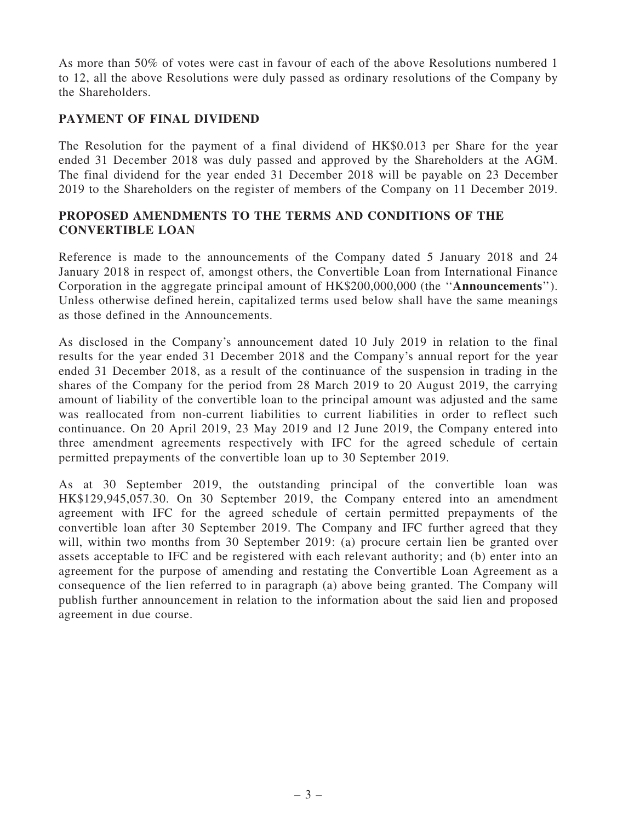As more than 50% of votes were cast in favour of each of the above Resolutions numbered 1 to 12, all the above Resolutions were duly passed as ordinary resolutions of the Company by the Shareholders.

#### PAYMENT OF FINAL DIVIDEND

The Resolution for the payment of a final dividend of HK\$0.013 per Share for the year ended 31 December 2018 was duly passed and approved by the Shareholders at the AGM. The final dividend for the year ended 31 December 2018 will be payable on 23 December 2019 to the Shareholders on the register of members of the Company on 11 December 2019.

#### PROPOSED AMENDMENTS TO THE TERMS AND CONDITIONS OF THE CONVERTIBLE LOAN

Reference is made to the announcements of the Company dated 5 January 2018 and 24 January 2018 in respect of, amongst others, the Convertible Loan from International Finance Corporation in the aggregate principal amount of HK\$200,000,000 (the ''Announcements''). Unless otherwise defined herein, capitalized terms used below shall have the same meanings as those defined in the Announcements.

As disclosed in the Company's announcement dated 10 July 2019 in relation to the final results for the year ended 31 December 2018 and the Company's annual report for the year ended 31 December 2018, as a result of the continuance of the suspension in trading in the shares of the Company for the period from 28 March 2019 to 20 August 2019, the carrying amount of liability of the convertible loan to the principal amount was adjusted and the same was reallocated from non-current liabilities to current liabilities in order to reflect such continuance. On 20 April 2019, 23 May 2019 and 12 June 2019, the Company entered into three amendment agreements respectively with IFC for the agreed schedule of certain permitted prepayments of the convertible loan up to 30 September 2019.

As at 30 September 2019, the outstanding principal of the convertible loan was HK\$129,945,057.30. On 30 September 2019, the Company entered into an amendment agreement with IFC for the agreed schedule of certain permitted prepayments of the convertible loan after 30 September 2019. The Company and IFC further agreed that they will, within two months from 30 September 2019: (a) procure certain lien be granted over assets acceptable to IFC and be registered with each relevant authority; and (b) enter into an agreement for the purpose of amending and restating the Convertible Loan Agreement as a consequence of the lien referred to in paragraph (a) above being granted. The Company will publish further announcement in relation to the information about the said lien and proposed agreement in due course.